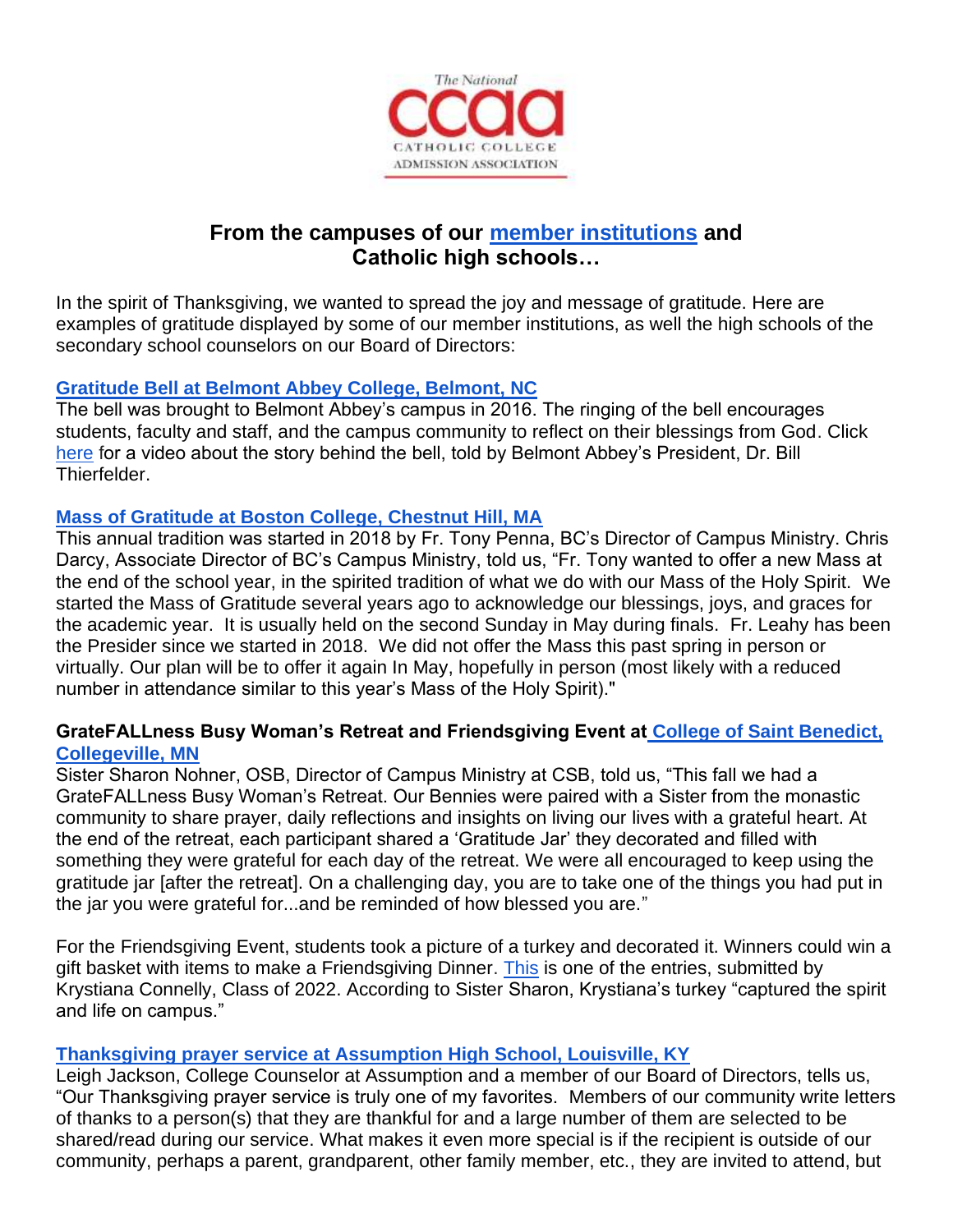

# **From the campuses of our [member institutions](https://www.catholiccollegesonline.org/members/current.html) and Catholic high schools…**

In the spirit of Thanksgiving, we wanted to spread the joy and message of gratitude. Here are examples of gratitude displayed by some of our member institutions, as well the high schools of the secondary school counselors on our Board of Directors:

### **Gratitude Bell at Belmont [Abbey College, Belmont, NC](https://www.belmontabbeycollege.edu/2016/10/gratitudebell/)**

The bell was brought to Belmont Abbey's campus in 2016. The ringing of the bell encourages students, faculty and staff, and the campus community to reflect on their blessings from God. Click [here](https://www.facebook.com/catholiccompany/videos/the-story-behind-belmont-abbeys-new-gratitude-bell/10154975384103387/) for a video about the story behind the bell, told by Belmont Abbey's President, Dr. Bill Thierfelder.

## **[Mass of Gratitude at Boston College, Chestnut Hill, MA](https://www.facebook.com/watch/?v=1495090773960550)**

This annual tradition was started in 2018 by Fr. Tony Penna, BC's Director of Campus Ministry. Chris Darcy, Associate Director of BC's Campus Ministry, told us, "Fr. Tony wanted to offer a new Mass at the end of the school year, in the spirited tradition of what we do with our Mass of the Holy Spirit. We started the Mass of Gratitude several years ago to acknowledge our blessings, joys, and graces for the academic year. It is usually held on the second Sunday in May during finals. Fr. Leahy has been the Presider since we started in 2018. We did not offer the Mass this past spring in person or virtually. Our plan will be to offer it again In May, hopefully in person (most likely with a reduced number in attendance similar to this year's Mass of the Holy Spirit)."

#### **GrateFALLness Busy Woman's Retreat and Friendsgiving Event at [College of Saint Benedict,](http://csbsju.edu/)  [Collegeville, MN](http://csbsju.edu/)**

Sister Sharon Nohner, OSB, Director of Campus Ministry at CSB, told us, "This fall we had a GrateFALLness Busy Woman's Retreat. Our Bennies were paired with a Sister from the monastic community to share prayer, daily reflections and insights on living our lives with a grateful heart. At the end of the retreat, each participant shared a 'Gratitude Jar' they decorated and filled with something they were grateful for each day of the retreat. We were all encouraged to keep using the gratitude jar [after the retreat]. On a challenging day, you are to take one of the things you had put in the jar you were grateful for...and be reminded of how blessed you are."

For the Friendsgiving Event, students took a picture of a turkey and decorated it. Winners could win a gift basket with items to make a Friendsgiving Dinner. [This](https://drive.google.com/file/d/10Jp7Ynd1VzMT2YFFWoBUkQaWR_ku3M8l/view?usp=sharing) is one of the entries, submitted by Krystiana Connelly, Class of 2022. According to Sister Sharon, Krystiana's turkey "captured the spirit and life on campus."

#### **[Thanksgiving prayer service at Assumption High School, Louisville, KY](https://www.facebook.com/AssumptionHighSchool/posts/10158075284693720)**

Leigh Jackson, College Counselor at Assumption and a member of our Board of Directors, tells us, "Our Thanksgiving prayer service is truly one of my favorites. Members of our community write letters of thanks to a person(s) that they are thankful for and a large number of them are selected to be shared/read during our service. What makes it even more special is if the recipient is outside of our community, perhaps a parent, grandparent, other family member, etc., they are invited to attend, but